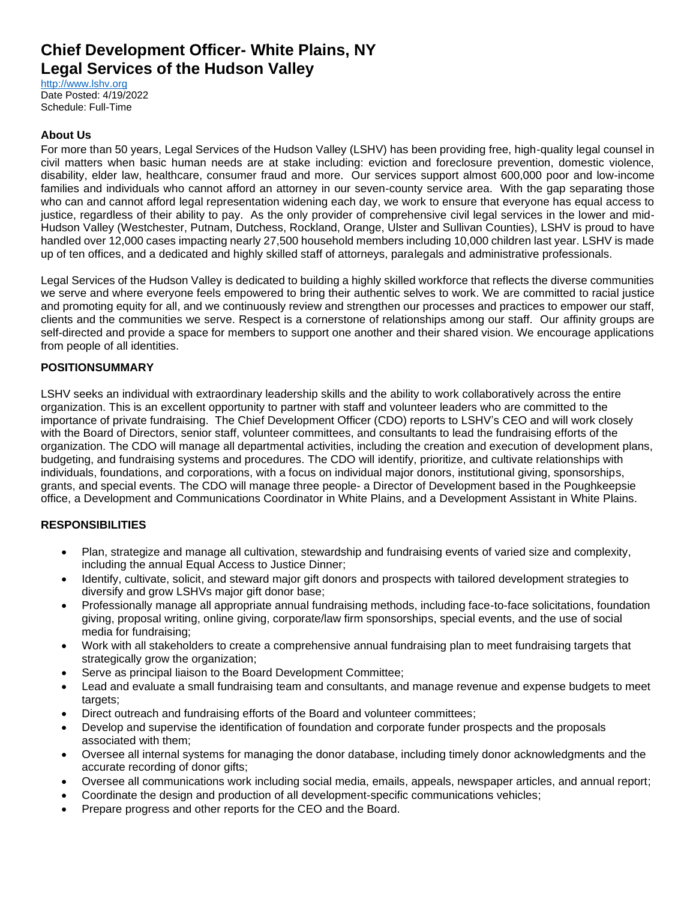# **Chief Development Officer- White Plains, NY Legal Services of the Hudson Valley**

[http://www.lshv.org](http://www.lshv.org/) Date Posted: 4/19/2022 Schedule: Full-Time

#### **About Us**

For more than 50 years, Legal Services of the Hudson Valley (LSHV) has been providing free, high-quality legal counsel in civil matters when basic human needs are at stake including: eviction and foreclosure prevention, domestic violence, disability, elder law, healthcare, consumer fraud and more. Our services support almost 600,000 poor and low-income families and individuals who cannot afford an attorney in our seven-county service area. With the gap separating those who can and cannot afford legal representation widening each day, we work to ensure that everyone has equal access to justice, regardless of their ability to pay. As the only provider of comprehensive civil legal services in the lower and mid-Hudson Valley (Westchester, Putnam, Dutchess, Rockland, Orange, Ulster and Sullivan Counties), LSHV is proud to have handled over 12,000 cases impacting nearly 27,500 household members including 10,000 children last year. LSHV is made up of ten offices, and a dedicated and highly skilled staff of attorneys, paralegals and administrative professionals.

Legal Services of the Hudson Valley is dedicated to building a highly skilled workforce that reflects the diverse communities we serve and where everyone feels empowered to bring their authentic selves to work. We are committed to racial justice and promoting equity for all, and we continuously review and strengthen our processes and practices to empower our staff, clients and the communities we serve. Respect is a cornerstone of relationships among our staff. Our affinity groups are self-directed and provide a space for members to support one another and their shared vision. We encourage applications from people of all identities.

#### **POSITIONSUMMARY**

LSHV seeks an individual with extraordinary leadership skills and the ability to work collaboratively across the entire organization. This is an excellent opportunity to partner with staff and volunteer leaders who are committed to the importance of private fundraising. The Chief Development Officer (CDO) reports to LSHV's CEO and will work closely with the Board of Directors, senior staff, volunteer committees, and consultants to lead the fundraising efforts of the organization. The CDO will manage all departmental activities, including the creation and execution of development plans, budgeting, and fundraising systems and procedures. The CDO will identify, prioritize, and cultivate relationships with individuals, foundations, and corporations, with a focus on individual major donors, institutional giving, sponsorships, grants, and special events. The CDO will manage three people- a Director of Development based in the Poughkeepsie office, a Development and Communications Coordinator in White Plains, and a Development Assistant in White Plains.

## **RESPONSIBILITIES**

- Plan, strategize and manage all cultivation, stewardship and fundraising events of varied size and complexity, including the annual Equal Access to Justice Dinner;
- Identify, cultivate, solicit, and steward major gift donors and prospects with tailored development strategies to diversify and grow LSHVs major gift donor base;
- Professionally manage all appropriate annual fundraising methods, including face-to-face solicitations, foundation giving, proposal writing, online giving, corporate/law firm sponsorships, special events, and the use of social media for fundraising;
- Work with all stakeholders to create a comprehensive annual fundraising plan to meet fundraising targets that strategically grow the organization;
- Serve as principal liaison to the Board Development Committee;
- Lead and evaluate a small fundraising team and consultants, and manage revenue and expense budgets to meet targets;
- Direct outreach and fundraising efforts of the Board and volunteer committees;
- Develop and supervise the identification of foundation and corporate funder prospects and the proposals associated with them;
- Oversee all internal systems for managing the donor database, including timely donor acknowledgments and the accurate recording of donor gifts;
- Oversee all communications work including social media, emails, appeals, newspaper articles, and annual report;
- Coordinate the design and production of all development-specific communications vehicles;
- Prepare progress and other reports for the CEO and the Board.